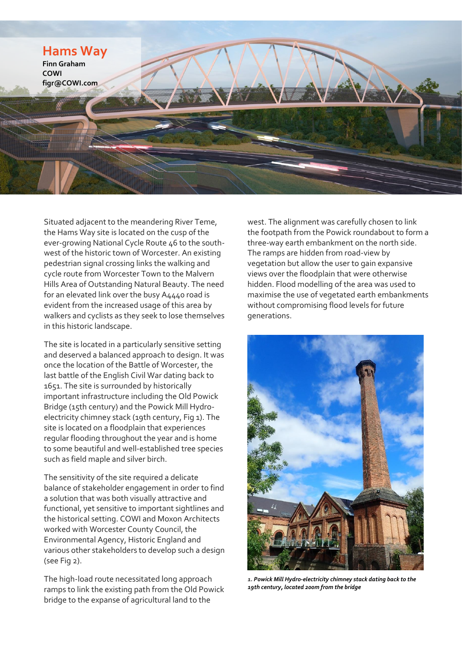

Situated adjacent to the meandering River Teme, the Hams Way site is located on the cusp of the ever-growing National Cycle Route 46 to the southwest of the historic town of Worcester. An existing pedestrian signal crossing links the walking and cycle route from Worcester Town to the Malvern Hills Area of Outstanding Natural Beauty. The need for an elevated link over the busy A4440 road is evident from the increased usage of this area by walkers and cyclists as they seek to lose themselves in this historic landscape.

The site is located in a particularly sensitive setting and deserved a balanced approach to design. It was once the location of the Battle of Worcester, the last battle of the English Civil War dating back to 1651. The site is surrounded by historically important infrastructure including the Old Powick Bridge (15th century) and the Powick Mill Hydroelectricity chimney stack (19th century, Fig [1\)](#page-0-0). The site is located on a floodplain that experiences regular flooding throughout the year and is home to some beautiful and well-established tree species such as field maple and silver birch.

The sensitivity of the site required a delicate balance of stakeholder engagement in order to find a solution that was both visually attractive and functional, yet sensitive to important sightlines and the historical setting. COWI and Moxon Architects worked with Worcester County Council, the Environmental Agency, Historic England and various other stakeholders to develop such a design (see Fi[g 2\)](#page-1-0).

<span id="page-0-0"></span>The high-load route necessitated long approach ramps to link the existing path from the Old Powick bridge to the expanse of agricultural land to the

west. The alignment was carefully chosen to link the footpath from the Powick roundabout to form a three-way earth embankment on the north side. The ramps are hidden from road-view by vegetation but allow the user to gain expansive views over the floodplain that were otherwise hidden. Flood modelling of the area was used to maximise the use of vegetated earth embankments without compromising flood levels for future generations.



*1. Powick Mill Hydro-electricity chimney stack dating back to the 19th century, located 200m from the bridge*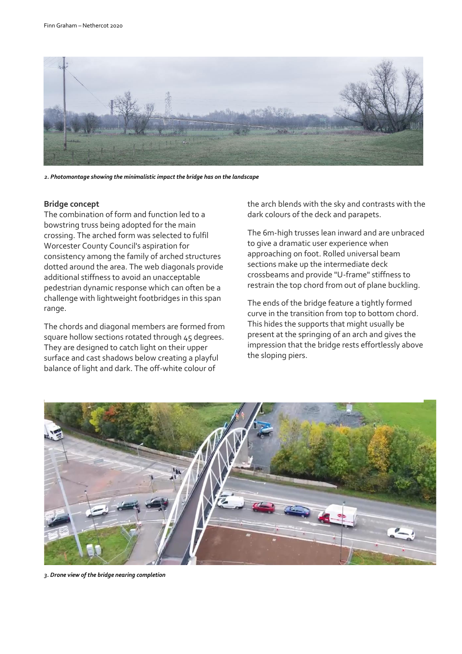

*2. Photomontage showing the minimalistic impact the bridge has on the landscape*

## <span id="page-1-0"></span>**Bridge concept**

The combination of form and function led to a bowstring truss being adopted for the main crossing. The arched form was selected to fulfil Worcester County Council's aspiration for consistency among the family of arched structures dotted around the area. The web diagonals provide additional stiffness to avoid an unacceptable pedestrian dynamic response which can often be a challenge with lightweight footbridges in this span range.

The chords and diagonal members are formed from square hollow sections rotated through 45 degrees. They are designed to catch light on their upper surface and cast shadows below creating a playful balance of light and dark. The off-white colour of

the arch blends with the sky and contrasts with the dark colours of the deck and parapets.

The 6m-high trusses lean inward and are unbraced to give a dramatic user experience when approaching on foot. Rolled universal beam sections make up the intermediate deck crossbeams and provide "U-frame" stiffness to restrain the top chord from out of plane buckling.

The ends of the bridge feature a tightly formed curve in the transition from top to bottom chord. This hides the supports that might usually be present at the springing of an arch and gives the impression that the bridge rests effortlessly above the sloping piers.



*3. Drone view of the bridge nearing completion*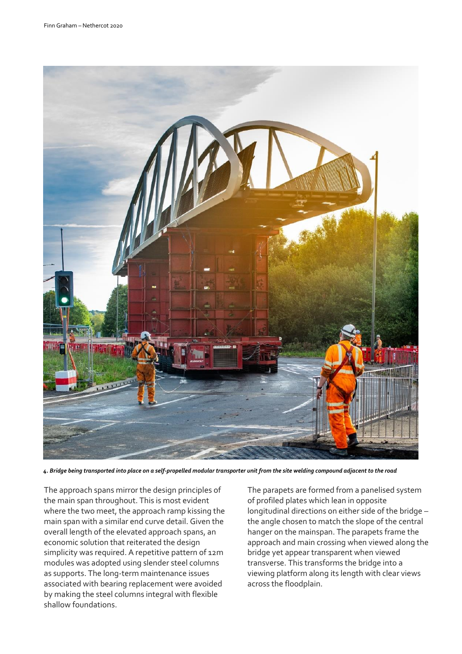

*4. Bridge being transported into place on a self-propelled modular transporter unit from the site welding compound adjacent to the road*

The approach spans mirror the design principles of the main span throughout. This is most evident where the two meet, the approach ramp kissing the main span with a similar end curve detail. Given the overall length of the elevated approach spans, an economic solution that reiterated the design simplicity was required. A repetitive pattern of 12m modules was adopted using slender steel columns as supports. The long-term maintenance issues associated with bearing replacement were avoided by making the steel columns integral with flexible shallow foundations.

The parapets are formed from a panelised system of profiled plates which lean in opposite longitudinal directions on either side of the bridge – the angle chosen to match the slope of the central hanger on the mainspan. The parapets frame the approach and main crossing when viewed along the bridge yet appear transparent when viewed transverse. This transforms the bridge into a viewing platform along its length with clear views across the floodplain.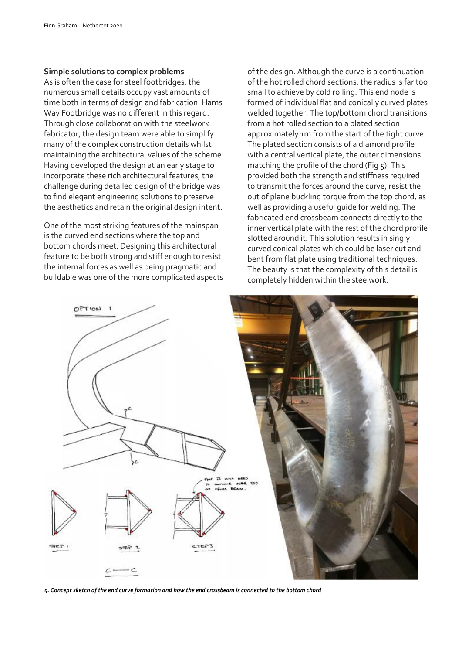## **Simple solutions to complex problems**

As is often the case for steel footbridges, the numerous small details occupy vast amounts of time both in terms of design and fabrication. Hams Way Footbridge was no different in this regard. Through close collaboration with the steelwork fabricator, the design team were able to simplify many of the complex construction details whilst maintaining the architectural values of the scheme. Having developed the design at an early stage to incorporate these rich architectural features, the challenge during detailed design of the bridge was to find elegant engineering solutions to preserve the aesthetics and retain the original design intent.

One of the most striking features of the mainspan is the curved end sections where the top and bottom chords meet. Designing this architectural feature to be both strong and stiff enough to resist the internal forces as well as being pragmatic and buildable was one of the more complicated aspects

of the design. Although the curve is a continuation of the hot rolled chord sections, the radius is far too small to achieve by cold rolling. This end node is formed of individual flat and conically curved plates welded together. The top/bottom chord transitions from a hot rolled section to a plated section approximately 1m from the start of the tight curve. The plated section consists of a diamond profile with a central vertical plate, the outer dimensions matching the profile of the chord (Fig [5\)](#page-3-0). This provided both the strength and stiffness required to transmit the forces around the curve, resist the out of plane buckling torque from the top chord, as well as providing a useful guide for welding. The fabricated end crossbeam connects directly to the inner vertical plate with the rest of the chord profile slotted around it. This solution results in singly curved conical plates which could be laser cut and bent from flat plate using traditional techniques. The beauty is that the complexity of this detail is completely hidden within the steelwork.



<span id="page-3-0"></span>*5. Concept sketch of the end curve formation and how the end crossbeam is connected to the bottom chord*